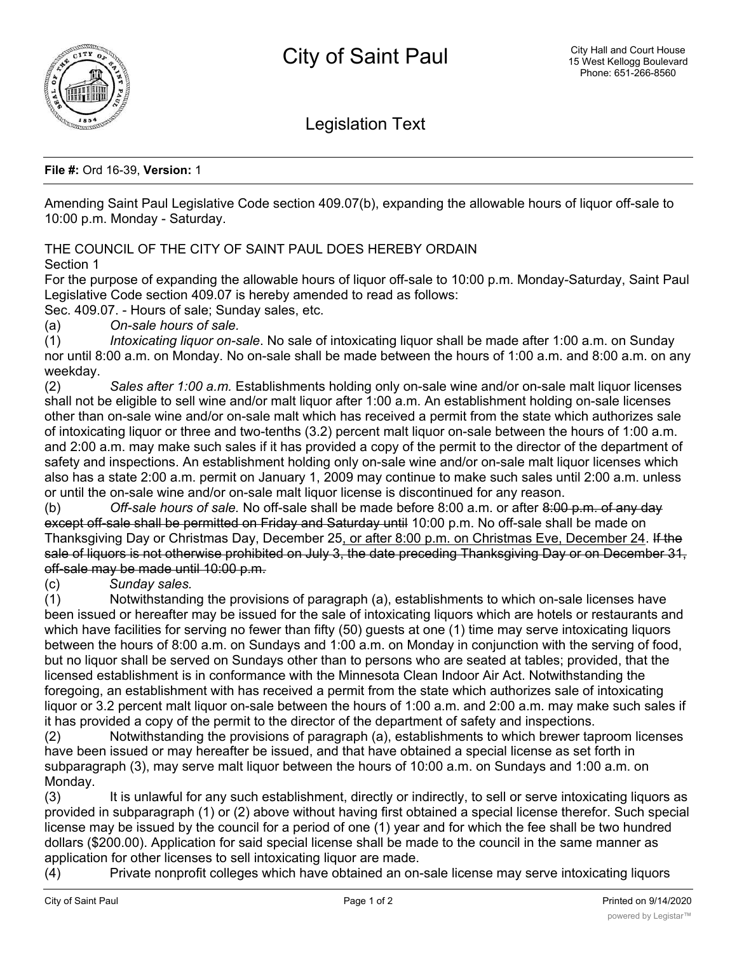

Legislation Text

**File #:** Ord 16-39, **Version:** 1

Amending Saint Paul Legislative Code section 409.07(b), expanding the allowable hours of liquor off-sale to 10:00 p.m. Monday - Saturday.

THE COUNCIL OF THE CITY OF SAINT PAUL DOES HEREBY ORDAIN Section 1

For the purpose of expanding the allowable hours of liquor off-sale to 10:00 p.m. Monday-Saturday, Saint Paul Legislative Code section 409.07 is hereby amended to read as follows:

Sec. 409.07. - Hours of sale; Sunday sales, etc.

(a) *On-sale hours of sale.*

(1) *Intoxicating liquor on-sale*. No sale of intoxicating liquor shall be made after 1:00 a.m. on Sunday nor until 8:00 a.m. on Monday. No on-sale shall be made between the hours of 1:00 a.m. and 8:00 a.m. on any weekday.

(2) *Sales after 1:00 a.m.* Establishments holding only on-sale wine and/or on-sale malt liquor licenses shall not be eligible to sell wine and/or malt liquor after 1:00 a.m. An establishment holding on-sale licenses other than on-sale wine and/or on-sale malt which has received a permit from the state which authorizes sale of intoxicating liquor or three and two-tenths (3.2) percent malt liquor on-sale between the hours of 1:00 a.m. and 2:00 a.m. may make such sales if it has provided a copy of the permit to the director of the department of safety and inspections. An establishment holding only on-sale wine and/or on-sale malt liquor licenses which also has a state 2:00 a.m. permit on January 1, 2009 may continue to make such sales until 2:00 a.m. unless or until the on-sale wine and/or on-sale malt liquor license is discontinued for any reason.

(b) *Off-sale hours of sale.* No off-sale shall be made before 8:00 a.m. or after 8:00 p.m. of any day except off-sale shall be permitted on Friday and Saturday until 10:00 p.m. No off-sale shall be made on Thanksgiving Day or Christmas Day, December 25, or after 8:00 p.m. on Christmas Eve, December 24. If the sale of liquors is not otherwise prohibited on July 3, the date preceding Thanksgiving Day or on December 31, off-sale may be made until 10:00 p.m.

(c) *Sunday sales.*

(1) Notwithstanding the provisions of paragraph (a), establishments to which on-sale licenses have been issued or hereafter may be issued for the sale of intoxicating liquors which are hotels or restaurants and which have facilities for serving no fewer than fifty (50) guests at one (1) time may serve intoxicating liquors between the hours of 8:00 a.m. on Sundays and 1:00 a.m. on Monday in conjunction with the serving of food, but no liquor shall be served on Sundays other than to persons who are seated at tables; provided, that the licensed establishment is in conformance with the Minnesota Clean Indoor Air Act. Notwithstanding the foregoing, an establishment with has received a permit from the state which authorizes sale of intoxicating liquor or 3.2 percent malt liquor on-sale between the hours of 1:00 a.m. and 2:00 a.m. may make such sales if it has provided a copy of the permit to the director of the department of safety and inspections.

(2) Notwithstanding the provisions of paragraph (a), establishments to which brewer taproom licenses have been issued or may hereafter be issued, and that have obtained a special license as set forth in subparagraph (3), may serve malt liquor between the hours of 10:00 a.m. on Sundays and 1:00 a.m. on Monday.

(3) It is unlawful for any such establishment, directly or indirectly, to sell or serve intoxicating liquors as provided in subparagraph (1) or (2) above without having first obtained a special license therefor. Such special license may be issued by the council for a period of one (1) year and for which the fee shall be two hundred dollars (\$200.00). Application for said special license shall be made to the council in the same manner as application for other licenses to sell intoxicating liquor are made.

(4) Private nonprofit colleges which have obtained an on-sale license may serve intoxicating liquors